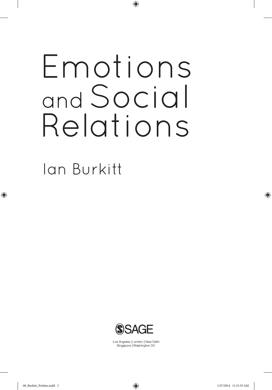# and Social Relations Emotions

⊕

## Ian Burkitt



Los Angeles | London | New Delhi Singapore | Washington DC

⊕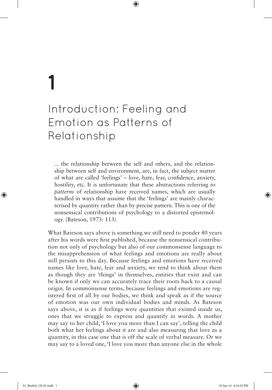## **1** Introduction: Feeling and Emotion as Patterns of Relationship

... the relationship between the self and others, and the relationship between self and environment, are, in fact, the subject matter of what are called 'feelings' – love, hate, fear, confidence, anxiety, hostility, etc. It is unfortunate that these abstractions referring to *patterns* of relationship have received names, which are usually handled in ways that assume that the 'feelings' are mainly characterised by quantity rather than by precise pattern. This is one of the nonsensical contributions of psychology to a distorted epistemology. (Bateson, 1973: 113)

⊕

What Bateson says above is something we still need to ponder 40 years after his words were first published, because the nonsensical contribution not only of psychology but also of our commonsense language to the misapprehension of what feelings and emotions are really about still persists to this day. Because feelings and emotions have received names like love, hate, fear and anxiety, we tend to think about them as though they are 'things' in themselves, entities that exist and can be known if only we can accurately trace their roots back to a causal origin. In commonsense terms, because feelings and emotions are registered first of all by our bodies, we think and speak as if the source of emotion was our own individual bodies and minds. As Bateson says above, it is as if feelings were quantities that existed inside us, ones that we struggle to express and quantify in words. A mother may say to her child, 'I love you more than I can say', telling the child both what her feelings about it are and also measuring that love as a quantity, in this case one that is off the scale of verbal measure. Or we may say to a loved one, 'I love you more than anyone else in the whole

⊕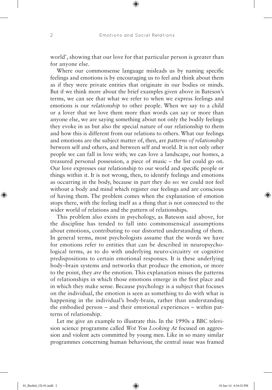world', showing that our love for that particular person is greater than for anyone else.

Where our commonsense language misleads us by naming specific feelings and emotions is by encouraging us to feel and think about them as if they were private entities that originate in our bodies or minds. But if we think more about the brief examples given above in Bateson's terms, we can see that what we refer to when we express feelings and emotions is our *relationship* to other people. When we say to a child or a lover that we love them more than words can say or more than anyone else, we are saying something about not only the bodily feelings they evoke in us but also the special nature of our relationship to them and how this is different from our relations to others. What our feelings and emotions are the subject matter of, then, are *patterns of relationship*  between self and others, and between self and world. It is not only other people we can fall in love with; we can love a landscape, our homes, a treasured personal possession, a piece of music – the list could go on. Our love expresses our relationship to our world and specific people or things within it. It is not wrong, then, to identify feelings and emotions as occurring in the body, because in part they do so: we could not feel without a body and mind which register our feelings and are conscious of having them. The problem comes when the explanation of emotion stops there, with the feeling itself as a thing that is not connected to the wider world of relations and the pattern of relationships.

This problem also exists in psychology, as Bateson said above, for the discipline has tended to fall into commonsensical assumptions about emotions, contributing to our distorted understanding of them. In general terms, most psychologists assume that the words we have for emotions refer to entities that can be described in neuropsychological terms, as to do with underlying neuro-circuitry or cognitive predispositions to certain emotional responses. It is these underlying body–brain systems and networks that produce the emotion, or more to the point, they *are* the emotion. This explanation misses the patterns of relationships in which those emotions emerge in the first place and in which they make sense. Because psychology is a subject that focuses on the individual, the emotion is seen as something to do with what is happening in the individual's body-brain, rather than understanding the embodied person – and their emotional experiences – within patterns of relationship.

Let me give an example to illustrate this. In the 1990s a BBC television science programme called *Wot You Looking At* focused on aggression and violent acts committed by young men. Like in so many similar programmes concerning human behaviour, the central issue was framed

◈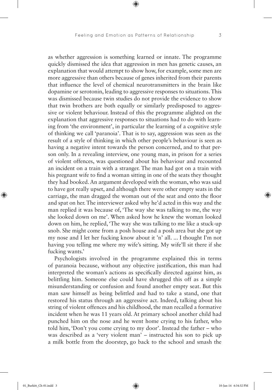as whether aggression is something learned or innate. The programme quickly dismissed the idea that aggression in men has genetic causes, an explanation that would attempt to show how, for example, some men are more aggressive than others because of genes inherited from their parents that influence the level of chemical neurotransmitters in the brain like dopamine or serotonin, leading to aggressive responses to situations. This was dismissed because twin studies do not provide the evidence to show that twin brothers are both equally or similarly predisposed to aggressive or violent behaviour. Instead of this the programme alighted on the explanation that aggressive responses to situations had to do with learning from 'the environment', in particular the learning of a cognitive style of thinking we call 'paranoia'. That is to say, aggression was seen as the result of a style of thinking in which other people's behaviour is seen as having a negative intent towards the person concerned, and to that person only. In a revealing interview, one young man, in prison for a series of violent offences, was questioned about his behaviour and recounted an incident on a train with a stranger. The man had got on a train with his pregnant wife to find a woman sitting in one of the seats they thought they had booked. An argument developed with the woman, who was said to have got really upset, and although there were other empty seats in the carriage, the man dragged the woman out of the seat and onto the floor and spat on her. The interviewer asked why he'd acted in this way and the man replied it was because of, 'The way she was talking to me, the way she looked down on me'. When asked how he knew the woman looked down on him, he replied, 'The way she was talking to me like a stuck-up snob. She might come from a posh house and a posh area but she got up my nose and I let her fucking know about it 'n' all. ... I thought I'm not having you telling me where my wife's sitting. My wife'll sit there if she fucking wants.'

Psychologists involved in the programme explained this in terms of paranoia because, without any objective justification, this man had interpreted the woman's actions as specifically directed against him, as belittling him. Someone else could have shrugged this off as a simple misunderstanding or confusion and found another empty seat. But this man saw himself as being belittled and had to take a stand, one that restored his status through an aggressive act. Indeed, talking about his string of violent offences and his childhood, the man recalled a formative incident when he was 11 years old. At primary school another child had punched him on the nose and he went home crying to his father, who told him, 'Don't you come crying to my door'. Instead the father – who was described as a 'very violent man' – instructed his son to pick up a milk bottle from the doorstep, go back to the school and smash the

◈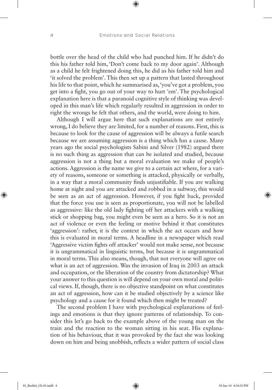bottle over the head of the child who had punched him. If he didn't do this his father told him, 'Don't come back to my door again'. Although as a child he felt frightened doing this, he did as his father told him and 'it solved the problem'. This then set up a pattern that lasted throughout his life to that point, which he summarised as, 'you've got a problem, you get into a fight, you go out of your way to hurt 'em'. The psychological explanation here is that a paranoid cognitive style of thinking was developed in this man's life which regularly resulted in aggression in order to right the wrongs he felt that others, and the world, were doing to him.

Although I will argue here that such explanations are not entirely wrong, I do believe they are limited, for a number of reasons. First, this is because to look for the cause of aggression will be always a futile search because we are assuming aggression is a thing which has a cause. Many years ago the social psychologists Sabini and Silver (1982) argued there is no such thing as aggression that can be isolated and studied, because aggression is not a thing but a moral evaluation we make of people's actions. Aggression is the name we give to a certain act where, for a variety of reasons, someone or something is attacked, physically or verbally, in a way that a moral community finds unjustifiable. If you are walking home at night and you are attacked and robbed in a subway, this would be seen as an act of aggression. However, if you fight back, provided that the force you use is seen as proportionate, you will not be labelled as aggressive: like the old lady fighting off her attackers with a walking stick or shopping bag, you might even be seen as a hero. So it is not an act of violence or even the feeling or motive behind it that constitutes 'aggression': rather, it is the context in which the act occurs and how this is evaluated in moral terms. A headline in a newspaper which read 'Aggressive victim fights off attacker' would not make sense, not because it is ungrammatical in linguistic terms, but because it is ungrammatical in moral terms. This also means, though, that not everyone will agree on what is an act of aggression. Was the invasion of Iraq in 2003 an attack and occupation, or the liberation of the country from dictatorship? What your answer to this question is will depend on your own moral and political views. If, though, there is no objective standpoint on what constitutes an act of aggression, how can it be studied objectively by a science like psychology and a cause for it found which then might be treated?

The second problem I have with psychological explanations of feelings and emotions is that they ignore patterns of relationship. To consider this let's go back to the example above of the young man on the train and the reaction to the woman sitting in his seat. His explanation of his behaviour, that it was provoked by the fact she was looking down on him and being snobbish, reflects a wider pattern of social class

◈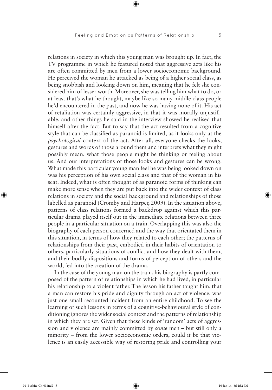relations in society in which this young man was brought up. In fact, the TV programme in which he featured noted that aggressive acts like his are often committed by men from a lower socioeconomic background. He perceived the woman he attacked as being of a higher social class, as being snobbish and looking down on him, meaning that he felt she considered him of lesser worth. Moreover, she was telling him what to do, or at least that's what he thought, maybe like so many middle-class people he'd encountered in the past, and now he was having none of it. His act of retaliation was certainly aggressive, in that it was morally unjustifiable, and other things he said in the interview showed he realised that himself after the fact. But to say that the act resulted from a cognitive style that can be classified as paranoid is limited, as it looks only at the *psychological* context of the act. After all, everyone checks the looks, gestures and words of those around them and interprets what they might possibly mean, what those people might be thinking or feeling about us. And our interpretations of those looks and gestures can be wrong. What made this particular young man feel he was being looked down on was his perception of his own social class and that of the woman in his seat. Indeed, what is often thought of as paranoid forms of thinking can make more sense when they are put back into the wider context of class relations in society and the social background and relationships of those labelled as paranoid (Cromby and Harper, 2009). In the situation above, patterns of class relations formed a backdrop against which this particular drama played itself out in the immediate relations between three people in a particular situation on a train. Overlapping this was also the biography of each person concerned and the way that orientated them in this situation, in terms of how they related to each other; the patterns of relationships from their past, embodied in their habits of orientation to others, particularly situations of conflict and how they dealt with them, and their bodily dispositions and forms of perception of others and the world, fed into the creation of the drama.

In the case of the young man on the train, his biography is partly composed of the pattern of relationships in which he had lived, in particular his relationship to a violent father. The lesson his father taught him, that a man can restore his pride and dignity through an act of violence, was just one small recounted incident from an entire childhood. To see the learning of such lessons in terms of a cognitive-behavioural style of conditioning ignores the wider social context and the patterns of relationship in which they are set. Given that these kinds of 'random' acts of aggression and violence are mainly committed by *some* men – but still only a minority – from the lower socioeconomic orders, could it be that violence is an easily accessible way of restoring pride and controlling your

◈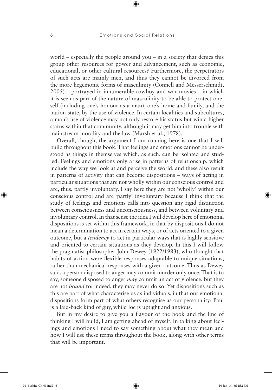world – especially the people around you – in a society that denies this group other resources for power and advancement, such as economic, educational, or other cultural resources? Furthermore, the perpetrators of such acts are mainly men, and thus they cannot be divorced from the more hegemonic forms of masculinity (Connell and Messerschmidt, 2005) – portrayed in innumerable cowboy and war movies – in which it is seen as part of the nature of masculinity to be able to protect oneself (including one's honour as a man), one's home and family, and the nation-state, by the use of violence. In certain localities and subcultures, a man's use of violence may not only restore his status but win a higher status within that community, although it may get him into trouble with mainstream morality and the law (Marsh et al., 1978).

Overall, though, the argument I am running here is one that I will build throughout this book. That feelings and emotions cannot be understood as things in themselves which, as such, can be isolated and studied. Feelings and emotions only arise in patterns of relationship, which include the way we look at and perceive the world, and these also result in patterns of activity that can become dispositions – ways of acting in particular situations that are not wholly within our conscious control and are, thus, partly involuntary. I say here they are not 'wholly' within our conscious control and are 'partly' involuntary because I think that the study of feelings and emotions calls into question any rigid distinction between consciousness and unconsciousness, and between voluntary and involuntary control. In that sense the idea I will develop here of emotional dispositions is set within this framework, in that by dispositions I do not mean a determination to act in certain ways, or of acts oriented to a given outcome, but a *tendency* to act in particular ways that is highly sensitive and oriented to certain situations as they develop. In this I will follow the pragmatist philosopher John Dewey (1922/1983), who thought that habits of action were flexible responses adaptable to unique situations, rather than mechanical responses with a given outcome. Thus as Dewey said, a person disposed to anger may commit murder only once. That is to say, someone disposed to anger *may* commit an act of violence, but they are not *bound* to: indeed, they may never do so. Yet dispositions such as this are part of what characterise us as individuals, in that our emotional dispositions form part of what others recognise as our personality: Paul is a laid-back kind of guy, while Joe is uptight and anxious.

But in my desire to give you a flavour of the book and the line of thinking I will build, I am getting ahead of myself. In talking about feelings and emotions I need to say something about what they mean and how I will use these terms throughout the book, along with other terms that will be important.

◈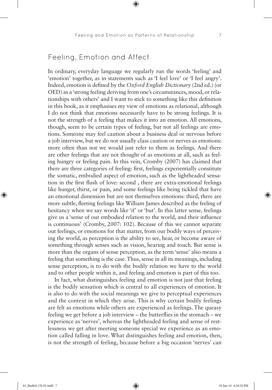### Feeling, Emotion and Affect

In ordinary, everyday language we regularly run the words 'feeling' and 'emotion' together, as in statements such as 'I feel love' or 'I feel angry'. Indeed, emotion is defined by the *Oxford English Dictionary* (2nd ed.) (or OED) as a 'strong feeling deriving from one's circumstances, mood, or relationships with others' and I want to stick to something like this definition in this book, as it emphasises my view of emotions as relational, although I do not think that emotions necessarily have to be strong feelings. It is not the strength of a feeling that makes it into an emotion. All emotions, though, seem to be certain types of feeling, but not all feelings are emotions. Someone may feel caution about a business deal or nervous before a job interview, but we do not usually class caution or nerves as emotions: more often than not we would just refer to them as feelings. And there are other feelings that are not thought of as emotions at all, such as feeling hungry or feeling pain. In this vein, Cromby (2007) has claimed that there are three categories of feeling: first, feelings experientially constitute the somatic, embodied aspect of emotion, such as the lightheaded sensation in the first flush of love: second , there are extra-emotional feelings like hunger, thirst, or pain, and some feelings like being tickled that have an emotional dimension but are not themselves emotions: third, there are more subtle, fleeting feelings like William James described as the feeling of hesitancy when we say words like 'if' or 'but'. In this latter sense, feelings give us a 'sense of our embodied relation to the world, and their influence is continuous' (Cromby, 2007: 102). Because of this we cannot separate out feelings, or emotions for that matter, from our bodily ways of perceiving the world, as perception is the ability to see, hear, or become aware of something through senses such as vision, hearing and touch. But sense is more than the organs of sense perception, as the term 'sense' also means a feeling that something is the case. Thus, sense in all its meanings, including sense perception, is to do with the bodily relation we have to the world and to other people within it, and feeling and emotion is part of this too.

In fact, what distinguishes feeling and emotion is not just that feeling is the bodily sensation which is central to all experiences of emotion. It is also to do with the social meanings we give to perceptual experiences and the context in which they arise. This is why certain bodily feelings are felt as emotions while others are experienced as feelings. The queasy feeling we get before a job interview – the butterflies in the stomach – we experience as 'nerves', whereas the lightheaded feeling and sense of restlessness we get after meeting someone special we experience as an emotion called falling in love. What distinguishes feeling and emotion, then, is not the strength of feeling, because before a big occasion 'nerves' can

◈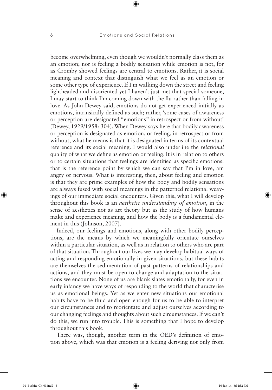become overwhelming, even though we wouldn't normally class them as an emotion; nor is feeling a bodily sensation while emotion is not, for as Cromby showed feelings are central to emotions. Rather, it is social meaning and context that distinguish what we feel as an emotion or some other type of experience. If I'm walking down the street and feeling lightheaded and disoriented yet I haven't just met that special someone, I may start to think I'm coming down with the flu rather than falling in love. As John Dewey said, emotions do not get experienced initially as emotions, intrinsically defined as such; rather, 'some cases of awareness or perception are designated "emotions" in retrospect or from without' (Dewey, 1929/1958: 304). When Dewey says here that bodily awareness or perception is designated as emotion, or feeling, in retrospect or from without, what he means is that it is designated in terms of its contextual reference and its social meaning. I would also underline the *relational* quality of what we define as emotion or feeling. It is in relation to others or to certain situations that feelings are identified as specific emotions: that is the reference point by which we can say that I'm in love, am angry or nervous. What is interesting, then, about feeling and emotion is that they are prime examples of how the body and bodily sensations are always fused with social meanings in the patterned relational weavings of our immediate social encounters. Given this, what I will develop throughout this book is an *aesthetic understanding of emotion*, in the sense of aesthetics not as art theory but as the study of how humans make and experience meaning, and how the body is a fundamental element in this (Johnson, 2007).

Indeed, our feelings and emotions, along with other bodily perceptions, are the means by which we meaningfully orientate ourselves within a particular situation, as well as in relation to others who are part of that situation. Throughout our lives we may develop habitual ways of acting and responding emotionally in given situations, but these habits are themselves the sedimentation of past patterns of relationships and actions, and they must be open to change and adaptation to the situations we encounter. None of us are blank slates emotionally, for even in early infancy we have ways of responding to the world that characterise us as emotional beings. Yet as we enter new situations our emotional habits have to be fluid and open enough for us to be able to interpret our circumstances and to reorientate and adjust ourselves according to our changing feelings and thoughts about such circumstances. If we can't do this, we run into trouble. This is something that I hope to develop throughout this book.

There was, though, another term in the OED's definition of emotion above, which was that emotion is a feeling deriving not only from

◈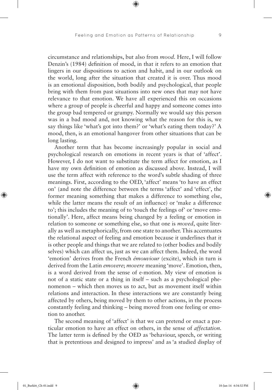circumstance and relationships, but also from *mood.* Here, I will follow Denzin's (1984) definition of mood, in that it refers to an emotion that lingers in our dispositions to action and habit, and in our outlook on the world, long after the situation that created it is over. Thus mood is an emotional disposition, both bodily and psychological, that people bring with them from past situations into new ones that may not have relevance to that emotion. We have all experienced this on occasions where a group of people is cheerful and happy and someone comes into the group bad tempered or grumpy. Normally we would say this person was in a bad mood and, not knowing what the reason for this is, we say things like 'what's got into them?' or 'what's eating them today?' A mood, then, is an emotional hangover from other situations that can be long lasting.

Another term that has become increasingly popular in social and psychological research on emotions in recent years is that of 'affect'. However, I do not want to substitute the term affect for emotion, as I have my own definition of emotion as discussed above. Instead, I will use the term affect with reference to the word's subtle shading of three meanings. First, according to the OED, 'affect' means 'to have an effect on' (and note the difference between the terms 'affect' and 'effect', the former meaning something that makes a difference to something else, while the latter means the result of an influence) or 'make a difference to'; this includes the meaning of to 'touch the feelings of' or 'move emotionally'. Here, affect means being changed by a feeling or emotion in relation to someone or something else, so that one is *moved*, quite literally as well as metaphorically, from one state to another. This accentuates the relational aspect of feeling and emotion because it underlines that it is other people and things that we are related to (other bodies and bodily selves) which can affect us, just as we can affect them. Indeed, the word 'emotion' derives from the French *émouviour* (excite), which in turn is derived from the Latin *emovere*; *movere* meaning 'move'. Emotion, then, is a word derived from the sense of e-motion. My view of emotion is not of a static state or a thing in itself – such as a psychological phenomenon – which then moves us to act, but as movement itself within relations and interaction. In these interactions we are constantly being affected by others, being moved by them to other actions, in the process constantly feeling and thinking – being moved from one feeling or emotion to another.

The second meaning of 'affect' is that we can pretend or enact a particular emotion to have an effect on others, in the sense of *affectation.* The latter term is defined by the OED as 'behaviour, speech, or writing that is pretentious and designed to impress' and as 'a studied display of

◈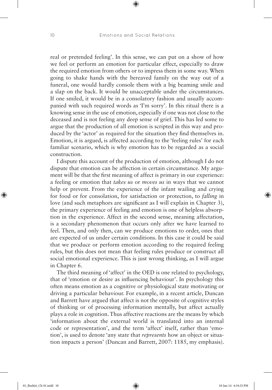real or pretended feeling'. In this sense, we can put on a show of how we feel or perform an emotion for particular effect, especially to draw the required emotion from others or to impress them in some way. When going to shake hands with the bereaved family on the way out of a funeral, one would hardly console them with a big beaming smile and a slap on the back. It would be unacceptable under the circumstances. If one smiled, it would be in a consolatory fashion and usually accompanied with such required words as 'I'm sorry'. In this ritual there is a knowing sense in the use of emotion, especially if one was not close to the deceased and is not feeling any deep sense of grief. This has led some to argue that the production of all emotion is scripted in this way and produced by the 'actor' as required for the situation they find themselves in. Emotion, it is argued, is affected according to the 'feeling rules' for each familiar scenario, which is why emotion has to be regarded as a social construction.

I dispute this account of the production of emotion, although I do not dispute that emotion can be affection in certain circumstance. My argument will be that the first meaning of affect is primary in our experience: a feeling or emotion that *takes us* or *moves us* in ways that we cannot help or prevent. From the experience of the infant wailing and crying for food or for consolation, for satisfaction or protection, to *falling* in love (and such metaphors are significant as I will explain in Chapter 3), the primary experience of feeling and emotion is one of helpless absorption in the experience. Affect in the second sense, meaning affectation, is a secondary phenomenon that occurs only after we have learned to feel. Then, and only then, can we produce emotions to order, ones that are expected of us under certain conditions. In this case it could be said that we produce or perform emotion according to the required feeling rules, but this does not mean that feeling rules produce or construct all social emotional experience. This is just wrong thinking, as I will argue in Chapter 6.

The third meaning of 'affect' in the OED is one related to psychology, that of 'emotion or desire as influencing behaviour'. In psychology this often means emotion as a cognitive or physiological state motivating or driving a particular behaviour. For example, in a recent article, Duncan and Barrett have argued that affect is not the opposite of cognitive styles of thinking or of processing information mentally, but affect actually plays a role in cognition. Thus affective reactions are the means by which 'information about the external world is translated into an internal code or representation', and the term 'affect' itself, rather than 'emotion', is used to denote 'any state that *represents* how an object or situation impacts a person' (Duncan and Barrett, 2007: 1185, my emphasis).

◈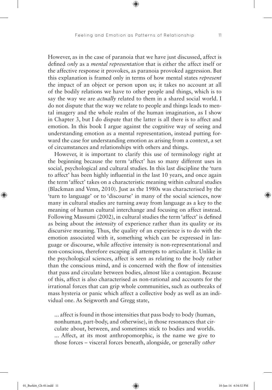However, as in the case of paranoia that we have just discussed, affect is defined *only* as a *mental representation* that is either the affect itself or the affective response it provokes, as paranoia provoked aggression. But this explanation is framed only in terms of how mental states *represent* the impact of an object or person upon us; it takes no account at all of the bodily relations we have to other people and things, which is to say the way we are *actually* related to them in a shared social world. I do not dispute that the way we relate to people and things leads to mental imagery and the whole realm of the human imagination, as I show in Chapter 3, but I do dispute that the latter is all there is to affect and emotion. In this book I argue against the cognitive way of seeing and understanding emotion as a mental representation, instead putting forward the case for understanding emotion as arising from a context, a set of circumstances and relationships with others and things.

However, it is important to clarify this use of terminology right at the beginning because the term 'affect' has so many different uses in social, psychological and cultural studies. In this last discipline the 'turn to affect' has been highly influential in the last 10 years, and once again the term 'affect' takes on a characteristic meaning within cultural studies (Blackman and Venn, 2010). Just as the 1980s was characterised by the 'turn to language' or to 'discourse' in many of the social sciences, now many in cultural studies are turning away from language as a key to the meaning of human cultural interchange and focusing on affect instead. Following Massumi (2002), in cultural studies the term 'affect' is defined as being about the *intensity* of experience rather than its quality or its discursive meaning. Thus, the quality of an experience is to do with the emotion associated with it, something which can be expressed in language or discourse, while affective intensity is non-representational and non-conscious, therefore escaping all attempts to articulate it. Unlike in the psychological sciences, affect is seen as relating to the body rather than the conscious mind, and is concerned with the flow of intensities that pass and circulate between bodies, almost like a contagion. Because of this, affect is also characterised as non-rational and accounts for the irrational forces that can grip whole communities, such as outbreaks of mass hysteria or panic which affect a collective body as well as an individual one. As Seigworth and Gregg state,

... affect is found in those intensities that pass body to body (human, nonhuman, part-body, and otherwise), in those resonances that circulate about, between, and sometimes stick to bodies and worlds. ... Affect, at its most anthropomorphic, is the name we give to those forces – visceral forces beneath, alongside, or generally *other* 

◈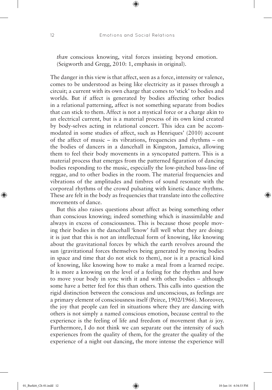*than* conscious knowing, vital forces insisting beyond emotion. (Seigworth and Gregg, 2010: 1, emphasis in original).

The danger in this view is that affect, seen as a force, intensity or valence, comes to be understood as being like electricity as it passes through a circuit; a current with its own charge that comes to 'stick' to bodies and worlds. But if affect is generated by bodies affecting other bodies in a relational patterning, affect is not something separate from bodies that can stick to them. Affect is not a mystical force or a charge akin to an electrical current, but is a material process of its own kind created by body-selves acting in relational concert. This idea can be accommodated in some studies of affect, such as Henriques' (2010) account of the affect of music – its vibrations, frequencies and rhythms – on the bodies of dancers in a dancehall in Kingston, Jamaica, allowing them to feel their body movements in a syncopated pattern. This is a material process that emerges from the patterned figuration of dancing bodies responding to the music, especially the low-pitched bass-line of reggae, and to other bodies in the room. The material frequencies and vibrations of the amplitudes and timbres of sound resonate with the corporeal rhythms of the crowd pulsating with kinetic dance rhythms. These are felt in the body as frequencies that translate into the collective movements of dance.

But this also raises questions about affect as being something other than conscious knowing; indeed something which is inassimilable and always in excess of consciousness. This is because those people moving their bodies in the dancehall 'know' full well what they are doing: it is just that this is not an intellectual form of knowing, like knowing about the gravitational forces by which the earth revolves around the sun (gravitational forces themselves being generated by moving bodies in space and time that do not stick to them), nor is it a practical kind of knowing, like knowing how to make a meal from a learned recipe. It is more a knowing on the level of a feeling for the rhythm and how to move your body in sync with it and with other bodies – although some have a better feel for this than others. This calls into question the rigid distinction between the conscious and unconscious, as feelings are a primary element of consciousness itself (Peirce, 1902/1966). Moreover, the joy that people can feel in situations where they are dancing with others is not simply a named conscious emotion, because central to the experience is the feeling of life and freedom of movement that *is* joy. Furthermore, I do not think we can separate out the intensity of such experiences from the quality of them, for the greater the quality of the experience of a night out dancing, the more intense the experience will

◈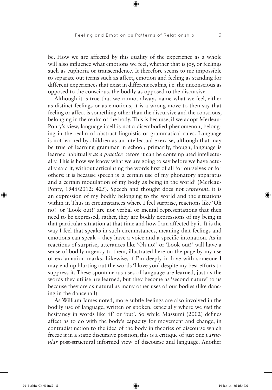be. How we are affected by this quality of the experience as a whole will also influence what emotions we feel, whether that is joy, or feelings such as euphoria or transcendence. It therefore seems to me impossible to separate out terms such as affect, emotion and feeling as standing for different experiences that exist in different realms, i.e. the unconscious as opposed to the conscious, the bodily as opposed to the discursive.

Although it is true that we cannot always name what we feel, either as distinct feelings or as emotions, it is a wrong move to then say that feeling or affect is something other than the discursive and the conscious, belonging in the realm of the body. This is because, if we adopt Merleau-Ponty's view, language itself is not a disembodied phenomenon, belonging in the realm of abstract linguistic or grammatical rules. Language is not learned by children as an intellectual exercise, although that may be true of learning grammar in school; primarily, though, language is learned habitually *as a practice* before it can be contemplated intellectually. This is how we know what we are going to say before we have actually said it, without articulating the words first of all for ourselves or for others: it is because speech is 'a certain use of my phonatory apparatus and a certain modulation of my body as being in the world' (Merleau-Ponty, 1945/2012: 425). Speech and thought does not *represent*, it is an expression of my bodily belonging to the world and the situations within it. Thus in circumstances where I feel surprise, reactions like 'Oh no!' or 'Look out!' are not verbal or mental representations that then need to be expressed; rather, they are bodily expressions of my being in that particular situation at that time and how I am affected by it. It is the way I feel that speaks in such circumstances, meaning that feelings and emotions can speak – they have a voice and a specific intonation. As in reactions of surprise, utterances like 'Oh no!' or 'Look out!' will have a sense of bodily urgency to them, illustrated here on the page by my use of exclamation marks. Likewise, if I'm deeply in love with someone I may end up blurting out the words 'I love you' despite my best efforts to suppress it. These spontaneous uses of language are learned, just as the words they utilise are learned, but they become as 'second nature' to us because they are as natural as many other uses of our bodies (like dancing in the dancehall).

As William James noted, more subtle feelings are also involved in the bodily use of language, written or spoken, especially where we *feel* the hesitancy in words like 'if' or 'but'. So while Massumi (2002) defines affect as to do with the body's capacity for movement and change, in contradistinction to the idea of the body in theories of discourse which freeze it in a static discursive position, this is a critique of just one *particular* post-structural informed view of discourse and language. Another

◈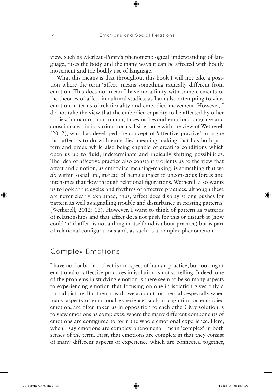view, such as Merleau-Ponty's phenomenological understanding of language, fuses the body and the many ways it can be affected with bodily movement and the bodily use of language.

What this means is that throughout this book I will not take a position where the term 'affect' means something radically different from emotion. This does not mean I have no affinity with some elements of the theories of affect in cultural studies, as I am also attempting to view emotion in terms of relationality and embodied movement. However, I do not take the view that the embodied capacity to be affected by other bodies, human or non-human, takes us beyond emotion, language and consciousness in its various forms. I side more with the view of Wetherell (2012), who has developed the concept of 'affective practice' to argue that affect is to do with embodied meaning-making that has both pattern and order, while also being capable of creating conditions which open us up to fluid, indeterminate and radically shifting possibilities. The idea of affective practice also constantly orients us to the view that affect and emotion, as embodied meaning-making, is something that we *do* within social life, instead of being subject to unconscious forces and intensities that flow through relational figurations. Wetherell also wants us to look at the cycles and rhythms of affective practices, although these are never clearly explained; thus, 'affect does display strong pushes for pattern as well as signalling trouble and disturbance in existing patterns' (Wetherell, 2012: 13). However, I want to think of pattern as patterns of relationships and that affect does not push for this or disturb it (how could 'it' if affect is not a thing in itself and is about practice) but is part of relational configurations and, as such, is a complex phenomenon.

#### Complex Emotions

I have no doubt that affect is an aspect of human practice, but looking at emotional or affective practices in isolation is not so telling. Indeed, one of the problems in studying emotion is there seem to be so many aspects to experiencing emotion that focusing on one in isolation gives only a partial picture. But then how do we account for them all, especially when many aspects of emotional experience, such as cognition or embodied emotion, are often taken as in opposition to each other? My solution is to view emotions as complexes, where the many different components of emotions are configured to form the whole emotional experience. Here, when I say emotions are complex phenomena I mean 'complex' in both senses of the term. First, that emotions are complex in that they consist of many different aspects of experience which are connected together,

◈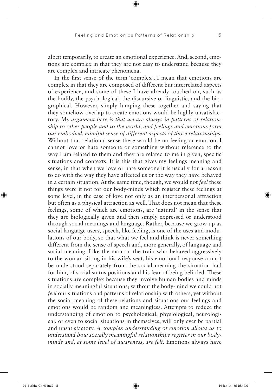albeit temporarily, to create an emotional experience. And, second, emotions are complex in that they are not easy to understand because they are complex and intricate phenomena.

In the first sense of the term 'complex', I mean that emotions are complex in that they are composed of different but interrelated aspects of experience, and some of these I have already touched on, such as the bodily, the psychological, the discursive or linguistic, and the biographical. However, simply lumping these together and saying that they somehow overlap to create emotions would be highly unsatisfactory. *My argument here is that we are always in patterns of relationship to other people and to the world, and feelings and emotions form our embodied, mindful sense of different aspects of those relationships.*  Without that relational sense there would be no feeling or emotion. I cannot love or hate someone or something without reference to the way I am related to them and they are related to me in given, specific situations and contexts. It is this that gives my feelings meaning and sense, in that when we love or hate someone it is usually for a reason to do with the way they have affected us or the way they have behaved in a certain situation. At the same time, though, we would not *feel* these things were it not for our body-minds which register these feelings at some level, in the case of love not only as an interpersonal attraction but often as a physical attraction as well. That does not mean that these feelings, some of which are emotions, are 'natural' in the sense that they are biologically given and then simply expressed or understood through social meanings and language. Rather, because we grow up as social language users, speech, like feeling, is one of the uses and modulations of our body, so that what we feel and think is never something different from the sense of speech and, more generally, of language and social meaning. Like the man on the train who behaved aggressively to the woman sitting in his wife's seat, his emotional response cannot be understood separately from the social meaning the situation had for him, of social status positions and his fear of being belittled. These situations are complex because they involve human bodies and minds in socially meaningful situations; without the body-mind we could not *feel* our situations and patterns of relationship with others, yet without the social meaning of these relations and situations our feelings and emotions would be random and meaningless. Attempts to reduce the understanding of emotion to psychological, physiological, neurological, or even to social situations in themselves, will only ever be partial and unsatisfactory. *A complex understanding of emotion allows us to understand how socially meaningful relationships register in our bodyminds and, at some level of awareness, are felt.* Emotions always have

◈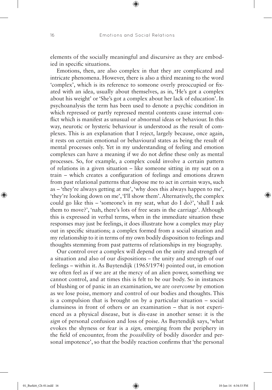elements of the socially meaningful and discursive as they are embodied in specific situations.

Emotions, then, are also complex in that they are complicated and intricate phenomena. However, there is also a third meaning to the word 'complex', which is its reference to someone overly preoccupied or fixated with an idea, usually about themselves, as in, 'He's got a complex about his weight' or 'She's got a complex about her lack of education'. In psychoanalysis the term has been used to denote a psychic condition in which repressed or partly repressed mental contents cause internal conflict which is manifest as unusual or abnormal ideas or behaviour. In this way, neurotic or hysteric behaviour is understood as the result of complexes. This is an explanation that I reject, largely because, once again, it rests on certain emotional or behavioural states as being the result of mental processes only. Yet in my understanding of feeling and emotion complexes can have a meaning if we do not define these only as mental processes. So, for example, a complex could involve a certain pattern of relations in a given situation – like someone sitting in my seat on a train – which creates a configuration of feelings and emotions drawn from past relational patterns that dispose me to act in certain ways, such as – 'they're always getting at me', 'why does this always happen to me', 'they're looking down on me', 'I'll show them'. Alternatively, the complex could go like this – 'someone's in my seat, what do I do?', 'shall I ask them to move?', 'nah, there's lots of free seats in the carriage'. Although this is expressed in verbal terms, when in the immediate situation these responses may just be feelings, it does illustrate how a complex may play out in specific situations; a complex formed from a social situation and my relationship to it in terms of my own bodily disposition to feelings and thoughts stemming from past patterns of relationships in my biography.

Our control over a complex will depend on the unity and strength of a situation and also of our dispositions – the unity and strength of our feelings – within it. As Buytendijk (1965/1974) pointed out, in emotion we often feel as if we are at the mercy of an alien power, something we cannot control, and at times this is felt to be our body. So in instances of blushing or of panic in an examination, we are *overcome* by emotion as we lose poise, memory and control of our bodies and thoughts. This is a compulsion that is brought on by a particular situation – social clumsiness in front of others or an examination – that is not experienced as a physical disease, but is dis-ease in another sense: it is the *sign* of personal confusion and loss of poise. As Buytendijk says, 'what evokes the shyness or fear is a *sign,* emerging from the periphery in the field of encounter, from the *possibility* of bodily disorder and personal impotence', so that the bodily reaction confirms that 'the personal

◈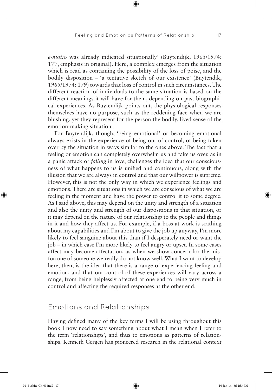*e-motio* was already indicated situationally' (Buytendijk, 1965/1974: 177, emphasis in original). Here, a complex emerges from the situation which is read as containing the possibility of the loss of poise, and the bodily disposition – 'a tentative sketch of our existence' (Buytendik, 1965/1974: 179) towards that loss of control in such circumstances. The different reaction of individuals to the same situation is based on the different meanings it will have for them, depending on past biographical experiences. As Buytendijk points out, the physiological responses themselves have no purpose, such as the reddening face when we are blushing, yet they represent for the person the bodily, lived sense of the emotion-making situation.

For Buytendijk, though, 'being emotional' or becoming emotional always exists in the experience of being out of control, of being taken over by the situation in ways similar to the ones above. The fact that a feeling or emotion can completely overwhelm us and take us over, as in a panic attack or *falling* in love, challenges the idea that our consciousness of what happens to us is unified and continuous, along with the illusion that we are always in control and that our willpower is supreme. However, this is not the only way in which we experience feelings and emotions. There are situations in which we are conscious of what we are feeling in the moment and have the power to control it to some degree. As I said above, this may depend on the unity and strength of a situation and also the unity and strength of our dispositions in that situation, or it may depend on the nature of our relationship to the people and things in it and how they affect us. For example, if a boss at work is scathing about my capabilities and I'm about to give the job up anyway, I'm more likely to feel sanguine about this than if I desperately need or want the job – in which case I'm more likely to feel angry or upset. In some cases affect may become affectation, as when we show concern for the misfortune of someone we really do not know well. What I want to develop here, then, is the idea that there is a range of experiencing feeling and emotion, and that our control of these experiences will vary across a range, from being helplessly affected at one end to being very much in control and affecting the required responses at the other end.

#### Emotions and Relationships

Having defined many of the key terms I will be using throughout this book I now need to say something about what I mean when I refer to the term 'relationships', and thus to emotions as patterns of relationships. Kenneth Gergen has pioneered research in the relational context

◈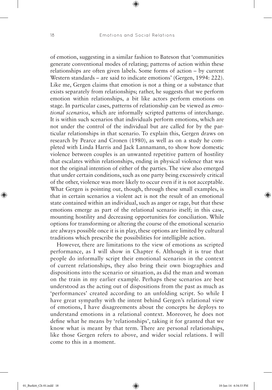of emotion, suggesting in a similar fashion to Bateson that 'communities generate conventional modes of relating; patterns of action within these relationships are often given labels. Some forms of action – by current Western standards – are said to indicate emotions' (Gergen, 1994: 222). Like me, Gergen claims that emotion is not a thing or a substance that exists separately from relationships; rather, he suggests that we perform emotion within relationships, a bit like actors perform emotions on stage. In particular cases, patterns of relationship can be viewed as *emotional scenarios*, which are informally scripted patterns of interchange. It is within such scenarios that individuals perform emotions, which are not under the control of the individual but are called for by the particular relationships in that scenario. To explain this, Gergen draws on research by Pearce and Cronen (1980), as well as on a study he completed with Linda Harris and Jack Lannamann, to show how domestic violence between couples is an unwanted repetitive pattern of hostility that escalates within relationships, ending in physical violence that was not the original intention of either of the parties. The view also emerged that under certain conditions, such as one party being excessively critical of the other, violence was more likely to occur even if it is not acceptable. What Gergen is pointing out, though, through these small examples, is that in certain scenarios a violent act is not the result of an emotional state contained within an individual, such as anger or rage, but that these emotions emerge as part of the relational scenario itself; in this case, mounting hostility and decreasing opportunities for conciliation. While options for transforming or altering the course of the emotional scenario are always possible once it is in play, these options are limited by cultural traditions which prescribe the possibilities for intelligible action.

However, there are limitations to the view of emotions as scripted performance, as I will show in Chapter 6. Although it is true that people do informally script their emotional scenarios in the context of current relationships, they also bring their own biographies and dispositions into the scenario or situation, as did the man and woman on the train in my earlier example. Perhaps these scenarios are best understood as the acting out of dispositions from the past as much as 'performances' created according to an unfolding script. So while I have great sympathy with the intent behind Gergen's relational view of emotions, I have disagreements about the concepts he deploys to understand emotions in a relational context. Moreover, he does not define what he means by 'relationships', taking it for granted that we know what is meant by that term. There are personal relationships, like those Gergen refers to above, and wider social relations. I will come to this in a moment.

◈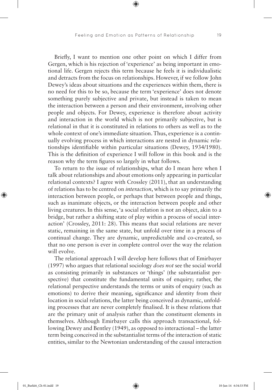Briefly, I want to mention one other point on which I differ from Gergen, which is his rejection of 'experience' as being important in emotional life. Gergen rejects this term because he feels it is individualistic and detracts from the focus on relationships. However, if we follow John Dewey's ideas about situations and the experiences within them, there is no need for this to be so, because the term 'experience' does not denote something purely subjective and private, but instead is taken to mean the interaction between a person and their environment, involving other people and objects. For Dewey, experience is therefore about activity and interaction in the world which is not primarily subjective, but is relational in that it is constituted in relations to others as well as to the whole context of one's immediate situation. Thus, experience is a continually evolving process in which interactions are nested in dynamic relationships identifiable within particular situations (Dewey, 1934/1980). This is the definition of experience I will follow in this book and is the reason why the term figures so largely in what follows.

To return to the issue of relationships, what do I mean here when I talk about relationships and about emotions only appearing in particular relational contexts? I agree with Crossley (2011), that an understanding of relations has to be centred on *interaction*, which is to say primarily the interaction between people, or perhaps that between people and things, such as inanimate objects, or the interaction between people and other living creatures. In this sense, 'a social relation is not an object, akin to a bridge, but rather a shifting state of play within a process of social interaction' (Crossley, 2011: 28). This means that social relations are never static, remaining in the same state, but unfold over time in a process of continual change. They are dynamic, unpredictable and co-created, so that no one person is ever in complete control over the way the relation will evolve.

The relational approach I will develop here follows that of Emirbayer (1997) who argues that relational sociology *does not* see the social world as consisting primarily in substances or 'things' (the substantialist perspective) that constitute the fundamental units of enquiry; rather, the relational perspective understands the terms or units of enquiry (such as emotions) to derive their meaning, significance and identity from their location in social relations, the latter being conceived as dynamic, unfolding processes that are never completely finalised. It is these relations that are the primary unit of analysis rather than the constituent elements in themselves. Although Emirbayer calls this approach transactional, following Dewey and Bentley (1949), as opposed to interactional – the latter term being conceived in the substantialist terms of the interaction of static entities, similar to the Newtonian understanding of the causal interaction

◈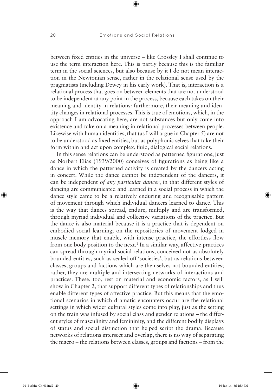between fixed entities in the universe – like Crossley I shall continue to use the term interaction here. This is partly because this is the familiar term in the social sciences, but also because by it I do not mean interaction in the Newtonian sense, rather in the relational sense used by the pragmatists (including Dewey in his early work). That is, interaction is a relational process that goes on between elements that are not understood to be independent at any point in the process, because each takes on their meaning and identity in relations: furthermore, their meaning and identity changes in relational processes. This is true of emotions, which, in the approach I am advocating here, are not substances but only come into existence and take on a meaning in relational processes between people. Likewise with human identities, that (as I will argue in Chapter 5) are not to be understood as fixed entities, but as polyphonic selves that take their form within and act upon complex, fluid, dialogical social relations.

In this sense relations can be understood as patterned figurations, just as Norbert Elias (1939/2000) conceives of figurations as being like a dance in which the patterned activity is created by the dancers acting in concert. While the dance cannot be independent of the dancers, it can be independent *of any particular dancer*, in that different styles of dancing are communicated and learned in a social process in which the dance style came to be a relatively enduring and recognisable pattern of movement through which individual dancers learned to dance. This is the way that dances spread, endure, multiply and are transformed, through myriad individual and collective variations of the practice. But the dance is also material because it is a practice that is dependent on embodied social learning; on the repositories of movement lodged in muscle memory that enable, with intense practice, the effortless flow from one body position to the next.<sup>1</sup> In a similar way, affective practices can spread through myriad social relations, conceived not as absolutely bounded entities, such as sealed off 'societies', but as relations between classes, groups and factions which are themselves not bounded entities; rather, they are multiple and intersecting networks of interactions and practices. These, too, rest on material and economic factors, as I will show in Chapter 2, that support different types of relationships and thus enable different types of affective practice. But this means that the emotional scenarios in which dramatic encounters occur are the relational settings in which wider cultural styles come into play, just as the setting on the train was infused by social class and gender relations – the different styles of masculinity and femininity, and the different bodily displays of status and social distinction that helped script the drama. Because networks of relations intersect and overlap, there is no way of separating the macro – the relations between classes, groups and factions – from the

◈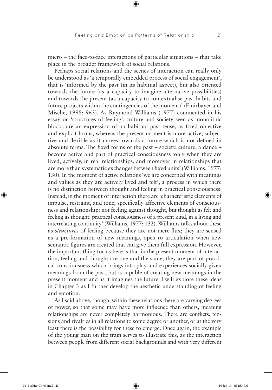micro – the face-to-face interactions of particular situations – that take place in the broader framework of social relations.

Perhaps social relations and the scenes of interaction can really only be understood as 'a temporally embedded process of social engagement', that is 'informed by the past (in its habitual aspect), but also oriented towards the future (as a capacity to imagine alternative possibilities) and towards the present (as a capacity to contextualise past habits and future projects within the contingencies of the moment)' (Emirbayer and Mische, 1998: 963). As Raymond Williams (1977) commented in his essay on 'structures of feeling', culture and society seen as monolithic blocks are an expression of an habitual past tense, as fixed objective and explicit forms, whereas the present moment is more active, subjective and flexible as it moves towards a future which is not defined in absolute terms. The fixed forms of the past – society, culture, a dance – become active and part of practical consciousness 'only when they are lived, actively, in real relationships, and moreover in relationships that are more than systematic exchanges between fixed units' (Williams, 1977: 130). In the moment of active relations 'we are concerned with meanings and values as they are actively lived and felt', a process in which there is no distinction between thought and feeling in practical consciousness. Instead, in the moment of interaction there are 'characteristic elements of impulse, restraint, and tone; specifically affective elements of consciousness and relationship: not feeling against thought, but thought as felt and feeling as thought: practical consciousness of a present kind, in a living and interrelating continuity' (Williams, 1977: 132). Williams talks about these as *structures* of feeling because they are not mere flux; they are sensed as a pre-formation of new meanings, open to articulation when new semantic figures are created that can give them full expression. However, the important thing for us here is that in the present moment of interaction, feeling and thought are one and the same; they are part of practical consciousness which brings into play and experiences socially given meanings from the past, but is capable of creating new meanings in the present moment and as it imagines the future. I will explore these ideas in Chapter 3 as I further develop the aesthetic understanding of feeling and emotion.

As I said above, though, within these relations there are varying degrees of power, so that some may have more influence than others, meaning relationships are never completely harmonious. There are conflicts, tensions and rivalries in all relations to some degree or another, or at the very least there is the possibility for these to emerge. Once again, the example of the young man on the train serves to illustrate this, as the interaction between people from different social backgrounds and with very different

◈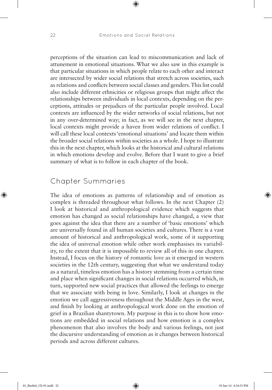perceptions of the situation can lead to miscommunication and lack of attunement in emotional situations. What we also saw in this example is that particular situations in which people relate to each other and interact are intersected by wider social relations that stretch across societies, such as relations and conflicts between social classes and genders. This list could also include different ethnicities or religious groups that might affect the relationships between individuals in local contexts, depending on the perceptions, attitudes or prejudices of the particular people involved. Local contexts are influenced by the wider networks of social relations, but not in any over-determined way; in fact, as we will see in the next chapter, local contexts might provide a haven from wider relations of conflict. I will call these local contexts 'emotional situations' and locate them within the broader social relations within societies as a whole. I hope to illustrate this in the next chapter, which looks at the historical and cultural relations in which emotions develop and evolve. Before that I want to give a brief summary of what is to follow in each chapter of the book.

#### Chapter Summaries

The idea of emotions as patterns of relationship and of emotion as complex is threaded throughout what follows. In the next Chapter (2) I look at historical and anthropological evidence which suggests that emotion has changed as social relationships have changed, a view that goes against the idea that there are a number of 'basic emotions' which are universally found in all human societies and cultures. There is a vast amount of historical and anthropological work, some of it supporting the idea of universal emotion while other work emphasises its variability, to the extent that it is impossible to review all of this in one chapter. Instead, I focus on the history of romantic love as it emerged in western societies in the 12th century, suggesting that what we understand today as a natural, timeless emotion has a history stemming from a certain time and place when significant changes in social relations occurred which, in turn, supported new social practices that allowed the feelings to emerge that we associate with being in love. Similarly, I look at changes in the emotion we call aggressiveness throughout the Middle Ages in the west, and finish by looking at anthropological work done on the emotion of grief in a Brazilian shantytown. My purpose in this is to show how emotions are embedded in social relations and how emotion is a complex phenomenon that also involves the body and various feelings, not just the discursive understanding of emotion as it changes between historical periods and across different cultures.

◈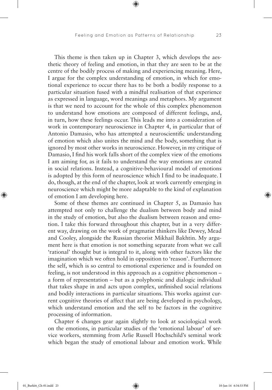This theme is then taken up in Chapter 3, which develops the aesthetic theory of feeling and emotion, in that they are seen to be at the centre of the bodily process of making and experiencing meaning. Here, I argue for the complex understanding of emotion, in which for emotional experience to occur there has to be both a bodily response to a particular situation fused with a mindful realisation of that experience as expressed in language, word meanings and metaphors. My argument is that we need to account for the whole of this complex phenomenon to understand how emotions are composed of different feelings, and, in turn, how these feelings occur. This leads me into a consideration of work in contemporary neuroscience in Chapter 4, in particular that of Antonio Damasio, who has attempted a neuroscientific understanding of emotion which also unites the mind and the body, something that is ignored by most other works in neuroscience. However, in my critique of Damasio, I find his work falls short of the complex view of the emotions I am aiming for, as it fails to understand the way emotions are created in social relations. Instead, a cognitive-behavioural model of emotions is adopted by this form of neuroscience which I find to be inadequate. I do, though, at the end of the chapter, look at work currently emerging in neuroscience which might be more adaptable to the kind of explanation of emotion I am developing here.

Some of these themes are continued in Chapter 5, as Damasio has attempted not only to challenge the dualism between body and mind in the study of emotion, but also the dualism between reason and emotion. I take this forward throughout this chapter, but in a very different way, drawing on the work of pragmatist thinkers like Dewey, Mead and Cooley, alongside the Russian theorist Mikhail Bakhtin. My argument here is that emotion is not something separate from what we call 'rational' thought but is integral to it, along with other factors like the imagination which we often hold in opposition to 'reason'. Furthermore the self, which is so central to emotional experience and is founded on feeling, is not understood in this approach as a cognitive phenomenon – a form of representation – but as a polyphonic and dialogic individual that takes shape in and acts upon complex, unfinished social relations and bodily interactions in particular situations. This works against current cognitive theories of affect that are being developed in psychology, which understand emotion and the self to be factors in the cognitive processing of information.

Chapter 6 changes gear again slightly to look at sociological work on the emotions, in particular studies of the 'emotional labour' of service workers, stemming from Arlie Russell Hochschild's seminal work which began the study of emotional labour and emotion work. While

◈